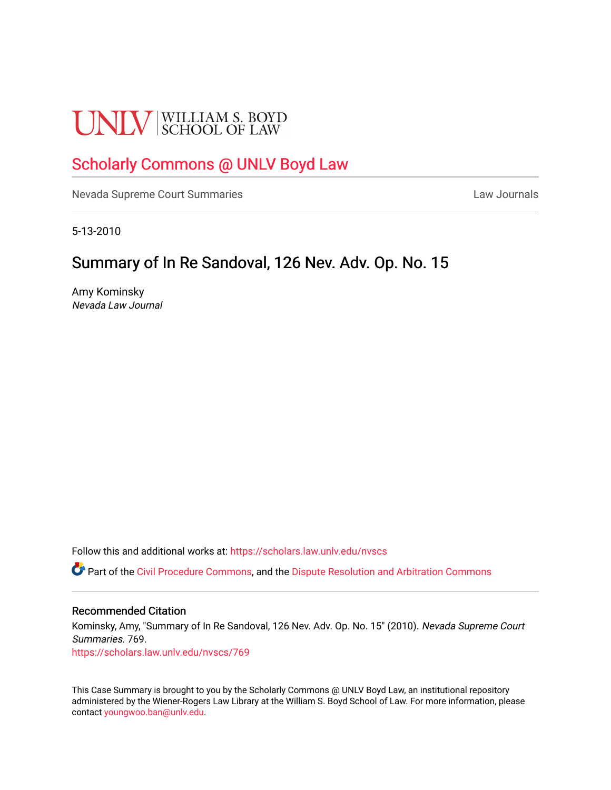# **UNLV** SCHOOL OF LAW

## [Scholarly Commons @ UNLV Boyd Law](https://scholars.law.unlv.edu/)

[Nevada Supreme Court Summaries](https://scholars.law.unlv.edu/nvscs) **Law Journals** Law Journals

5-13-2010

## Summary of In Re Sandoval, 126 Nev. Adv. Op. No. 15

Amy Kominsky Nevada Law Journal

Follow this and additional works at: [https://scholars.law.unlv.edu/nvscs](https://scholars.law.unlv.edu/nvscs?utm_source=scholars.law.unlv.edu%2Fnvscs%2F769&utm_medium=PDF&utm_campaign=PDFCoverPages)

**C** Part of the [Civil Procedure Commons,](http://network.bepress.com/hgg/discipline/584?utm_source=scholars.law.unlv.edu%2Fnvscs%2F769&utm_medium=PDF&utm_campaign=PDFCoverPages) and the Dispute Resolution and Arbitration Commons

#### Recommended Citation

Kominsky, Amy, "Summary of In Re Sandoval, 126 Nev. Adv. Op. No. 15" (2010). Nevada Supreme Court Summaries. 769.

[https://scholars.law.unlv.edu/nvscs/769](https://scholars.law.unlv.edu/nvscs/769?utm_source=scholars.law.unlv.edu%2Fnvscs%2F769&utm_medium=PDF&utm_campaign=PDFCoverPages)

This Case Summary is brought to you by the Scholarly Commons @ UNLV Boyd Law, an institutional repository administered by the Wiener-Rogers Law Library at the William S. Boyd School of Law. For more information, please contact [youngwoo.ban@unlv.edu](mailto:youngwoo.ban@unlv.edu).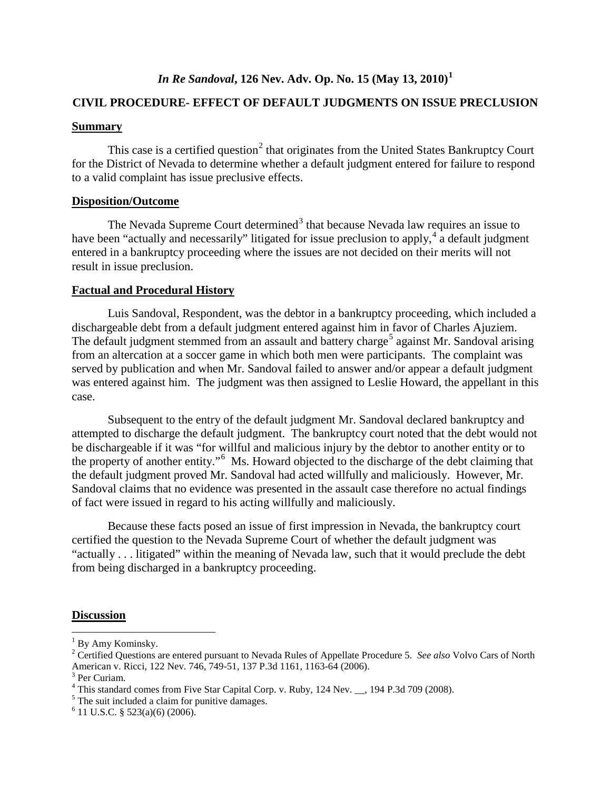### *In Re Sandoval***, 126 Nev. Adv. Op. No. 15 (May 13, 2010)[1](#page-1-0)**

#### **CIVIL PROCEDURE- EFFECT OF DEFAULT JUDGMENTS ON ISSUE PRECLUSION**

#### **Summary**

This case is a certified question<sup>[2](#page-1-1)</sup> that originates from the United States Bankruptcy Court for the District of Nevada to determine whether a default judgment entered for failure to respond to a valid complaint has issue preclusive effects.

#### **Disposition/Outcome**

The Nevada Supreme Court determined<sup>[3](#page-1-2)</sup> that because Nevada law requires an issue to have been "actually and necessarily" litigated for issue preclusion to apply,<sup>[4](#page-1-3)</sup> a default judgment entered in a bankruptcy proceeding where the issues are not decided on their merits will not result in issue preclusion.

#### **Factual and Procedural History**

Luis Sandoval, Respondent, was the debtor in a bankruptcy proceeding, which included a dischargeable debt from a default judgment entered against him in favor of Charles Ajuziem. The default judgment stemmed from an assault and battery charge<sup>[5](#page-1-4)</sup> against Mr. Sandoval arising from an altercation at a soccer game in which both men were participants. The complaint was served by publication and when Mr. Sandoval failed to answer and/or appear a default judgment was entered against him. The judgment was then assigned to Leslie Howard, the appellant in this case.

Subsequent to the entry of the default judgment Mr. Sandoval declared bankruptcy and attempted to discharge the default judgment. The bankruptcy court noted that the debt would not be dischargeable if it was "for willful and malicious injury by the debtor to another entity or to the property of another entity." [6](#page-1-5) Ms. Howard objected to the discharge of the debt claiming that the default judgment proved Mr. Sandoval had acted willfully and maliciously. However, Mr. Sandoval claims that no evidence was presented in the assault case therefore no actual findings of fact were issued in regard to his acting willfully and maliciously.

Because these facts posed an issue of first impression in Nevada, the bankruptcy court certified the question to the Nevada Supreme Court of whether the default judgment was "actually . . . litigated" within the meaning of Nevada law, such that it would preclude the debt from being discharged in a bankruptcy proceeding.

#### **Discussion**

<span id="page-1-0"></span> $<sup>1</sup>$  By Amy Kominsky.</sup>

<span id="page-1-1"></span><sup>2</sup> Certified Questions are entered pursuant to Nevada Rules of Appellate Procedure 5. *See also* Volvo Cars of North American v. Ricci, 122 Nev. 746, 749-51, 137 P.3d 1161, 1163-64 (2006).<br><sup>3</sup> Per Curiam.

<span id="page-1-3"></span><span id="page-1-2"></span><sup>&</sup>lt;sup>4</sup> This standard comes from Five Star Capital Corp. v. Ruby, 124 Nev.  $\_\_$ , 194 P.3d 709 (2008).<sup>5</sup> The suit included a claim for punitive damages.

<span id="page-1-5"></span><span id="page-1-4"></span> $6$  11 U.S.C. § 523(a)(6) (2006).